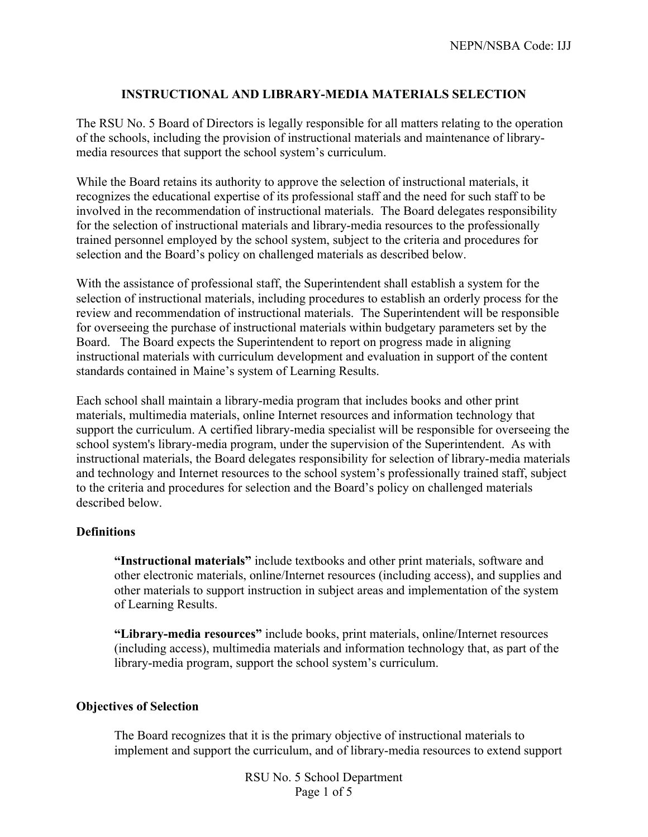## **INSTRUCTIONAL AND LIBRARY-MEDIA MATERIALS SELECTION**

The RSU No. 5 Board of Directors is legally responsible for all matters relating to the operation of the schools, including the provision of instructional materials and maintenance of librarymedia resources that support the school system's curriculum.

While the Board retains its authority to approve the selection of instructional materials, it recognizes the educational expertise of its professional staff and the need for such staff to be involved in the recommendation of instructional materials. The Board delegates responsibility for the selection of instructional materials and library-media resources to the professionally trained personnel employed by the school system, subject to the criteria and procedures for selection and the Board's policy on challenged materials as described below.

With the assistance of professional staff, the Superintendent shall establish a system for the selection of instructional materials, including procedures to establish an orderly process for the review and recommendation of instructional materials. The Superintendent will be responsible for overseeing the purchase of instructional materials within budgetary parameters set by the Board. The Board expects the Superintendent to report on progress made in aligning instructional materials with curriculum development and evaluation in support of the content standards contained in Maine's system of Learning Results.

Each school shall maintain a library-media program that includes books and other print materials, multimedia materials, online Internet resources and information technology that support the curriculum. A certified library-media specialist will be responsible for overseeing the school system's library-media program, under the supervision of the Superintendent. As with instructional materials, the Board delegates responsibility for selection of library-media materials and technology and Internet resources to the school system's professionally trained staff, subject to the criteria and procedures for selection and the Board's policy on challenged materials described below.

## **Definitions**

**"Instructional materials"** include textbooks and other print materials, software and other electronic materials, online/Internet resources (including access), and supplies and other materials to support instruction in subject areas and implementation of the system of Learning Results.

**"Library-media resources"** include books, print materials, online/Internet resources (including access), multimedia materials and information technology that, as part of the library-media program, support the school system's curriculum.

## **Objectives of Selection**

The Board recognizes that it is the primary objective of instructional materials to implement and support the curriculum, and of library-media resources to extend support

> RSU No. 5 School Department Page 1 of 5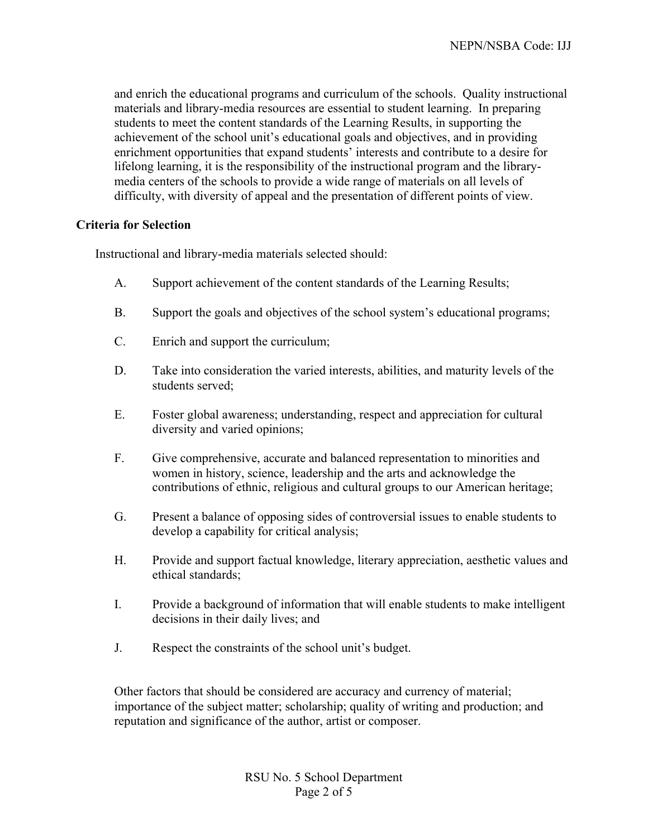and enrich the educational programs and curriculum of the schools. Quality instructional materials and library-media resources are essential to student learning. In preparing students to meet the content standards of the Learning Results, in supporting the achievement of the school unit's educational goals and objectives, and in providing enrichment opportunities that expand students' interests and contribute to a desire for lifelong learning, it is the responsibility of the instructional program and the librarymedia centers of the schools to provide a wide range of materials on all levels of difficulty, with diversity of appeal and the presentation of different points of view.

# **Criteria for Selection**

Instructional and library-media materials selected should:

- A. Support achievement of the content standards of the Learning Results;
- B. Support the goals and objectives of the school system's educational programs;
- C. Enrich and support the curriculum;
- D. Take into consideration the varied interests, abilities, and maturity levels of the students served;
- E. Foster global awareness; understanding, respect and appreciation for cultural diversity and varied opinions;
- F. Give comprehensive, accurate and balanced representation to minorities and women in history, science, leadership and the arts and acknowledge the contributions of ethnic, religious and cultural groups to our American heritage;
- G. Present a balance of opposing sides of controversial issues to enable students to develop a capability for critical analysis;
- H. Provide and support factual knowledge, literary appreciation, aesthetic values and ethical standards;
- I. Provide a background of information that will enable students to make intelligent decisions in their daily lives; and
- J. Respect the constraints of the school unit's budget.

Other factors that should be considered are accuracy and currency of material; importance of the subject matter; scholarship; quality of writing and production; and reputation and significance of the author, artist or composer.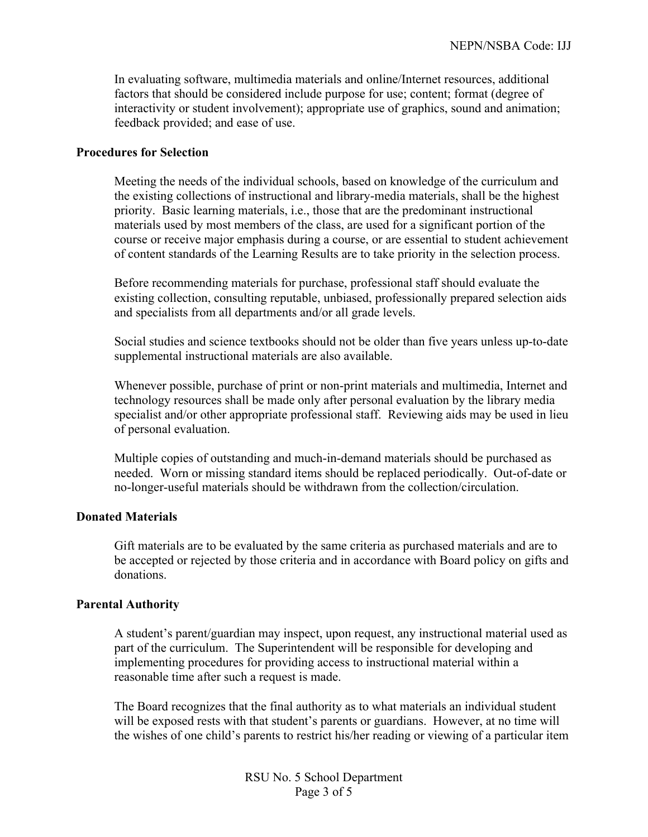In evaluating software, multimedia materials and online/Internet resources, additional factors that should be considered include purpose for use; content; format (degree of interactivity or student involvement); appropriate use of graphics, sound and animation; feedback provided; and ease of use.

#### **Procedures for Selection**

Meeting the needs of the individual schools, based on knowledge of the curriculum and the existing collections of instructional and library-media materials, shall be the highest priority. Basic learning materials, i.e., those that are the predominant instructional materials used by most members of the class, are used for a significant portion of the course or receive major emphasis during a course, or are essential to student achievement of content standards of the Learning Results are to take priority in the selection process.

Before recommending materials for purchase, professional staff should evaluate the existing collection, consulting reputable, unbiased, professionally prepared selection aids and specialists from all departments and/or all grade levels.

Social studies and science textbooks should not be older than five years unless up-to-date supplemental instructional materials are also available.

Whenever possible, purchase of print or non-print materials and multimedia, Internet and technology resources shall be made only after personal evaluation by the library media specialist and/or other appropriate professional staff. Reviewing aids may be used in lieu of personal evaluation.

Multiple copies of outstanding and much-in-demand materials should be purchased as needed. Worn or missing standard items should be replaced periodically. Out-of-date or no-longer-useful materials should be withdrawn from the collection/circulation.

## **Donated Materials**

Gift materials are to be evaluated by the same criteria as purchased materials and are to be accepted or rejected by those criteria and in accordance with Board policy on gifts and donations.

## **Parental Authority**

A student's parent/guardian may inspect, upon request, any instructional material used as part of the curriculum. The Superintendent will be responsible for developing and implementing procedures for providing access to instructional material within a reasonable time after such a request is made.

The Board recognizes that the final authority as to what materials an individual student will be exposed rests with that student's parents or guardians. However, at no time will the wishes of one child's parents to restrict his/her reading or viewing of a particular item

> RSU No. 5 School Department Page 3 of 5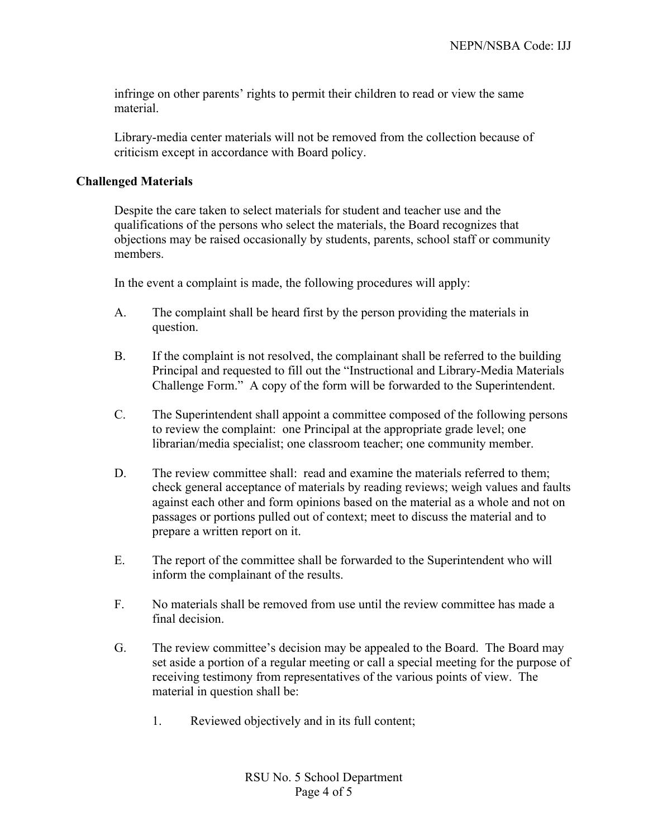infringe on other parents' rights to permit their children to read or view the same material.

Library-media center materials will not be removed from the collection because of criticism except in accordance with Board policy.

## **Challenged Materials**

Despite the care taken to select materials for student and teacher use and the qualifications of the persons who select the materials, the Board recognizes that objections may be raised occasionally by students, parents, school staff or community members.

In the event a complaint is made, the following procedures will apply:

- A. The complaint shall be heard first by the person providing the materials in question.
- B. If the complaint is not resolved, the complainant shall be referred to the building Principal and requested to fill out the "Instructional and Library-Media Materials Challenge Form." A copy of the form will be forwarded to the Superintendent.
- C. The Superintendent shall appoint a committee composed of the following persons to review the complaint: one Principal at the appropriate grade level; one librarian/media specialist; one classroom teacher; one community member.
- D. The review committee shall: read and examine the materials referred to them; check general acceptance of materials by reading reviews; weigh values and faults against each other and form opinions based on the material as a whole and not on passages or portions pulled out of context; meet to discuss the material and to prepare a written report on it.
- E. The report of the committee shall be forwarded to the Superintendent who will inform the complainant of the results.
- F. No materials shall be removed from use until the review committee has made a final decision.
- G. The review committee's decision may be appealed to the Board. The Board may set aside a portion of a regular meeting or call a special meeting for the purpose of receiving testimony from representatives of the various points of view. The material in question shall be:
	- 1. Reviewed objectively and in its full content;